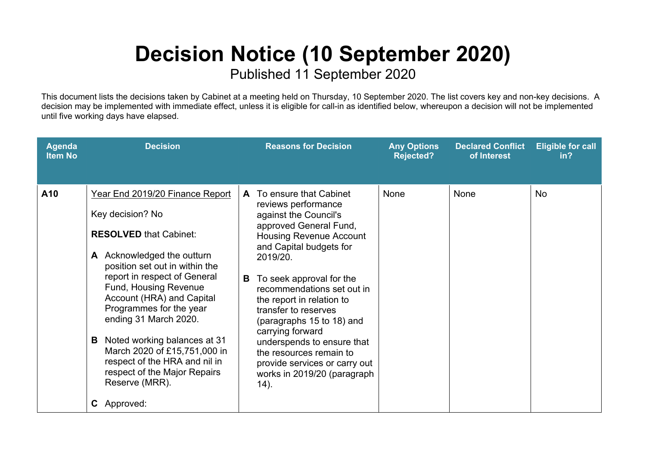## **Decision Notice (10 September 2020)**

Published 11 September 2020

This document lists the decisions taken by Cabinet at a meeting held on Thursday, 10 September 2020. The list covers key and non-key decisions. A decision may be implemented with immediate effect, unless it is eligible for call-in as identified below, whereupon a decision will not be implemented until five working days have elapsed.

| <b>Agenda</b><br><b>Item No</b> | <b>Decision</b>                                                                                                                                                                                                                                                                                                                                                                                                                                                                 | <b>Reasons for Decision</b>                                                                                                                                                                                                                                                                                                                                                                                                                                                            | <b>Any Options</b><br>Rejected? | <b>Declared Conflict</b><br>of Interest | <b>Eligible for call</b><br>in? |
|---------------------------------|---------------------------------------------------------------------------------------------------------------------------------------------------------------------------------------------------------------------------------------------------------------------------------------------------------------------------------------------------------------------------------------------------------------------------------------------------------------------------------|----------------------------------------------------------------------------------------------------------------------------------------------------------------------------------------------------------------------------------------------------------------------------------------------------------------------------------------------------------------------------------------------------------------------------------------------------------------------------------------|---------------------------------|-----------------------------------------|---------------------------------|
| A10                             | Year End 2019/20 Finance Report<br>Key decision? No<br><b>RESOLVED that Cabinet:</b><br>A Acknowledged the outturn<br>position set out in within the<br>report in respect of General<br><b>Fund, Housing Revenue</b><br>Account (HRA) and Capital<br>Programmes for the year<br>ending 31 March 2020.<br>Noted working balances at 31<br>В<br>March 2020 of £15,751,000 in<br>respect of the HRA and nil in<br>respect of the Major Repairs<br>Reserve (MRR).<br>Approved:<br>C | A To ensure that Cabinet<br>reviews performance<br>against the Council's<br>approved General Fund,<br><b>Housing Revenue Account</b><br>and Capital budgets for<br>2019/20.<br>To seek approval for the<br>B.<br>recommendations set out in<br>the report in relation to<br>transfer to reserves<br>(paragraphs 15 to 18) and<br>carrying forward<br>underspends to ensure that<br>the resources remain to<br>provide services or carry out<br>works in 2019/20 (paragraph<br>$(14)$ . | None                            | None                                    | <b>No</b>                       |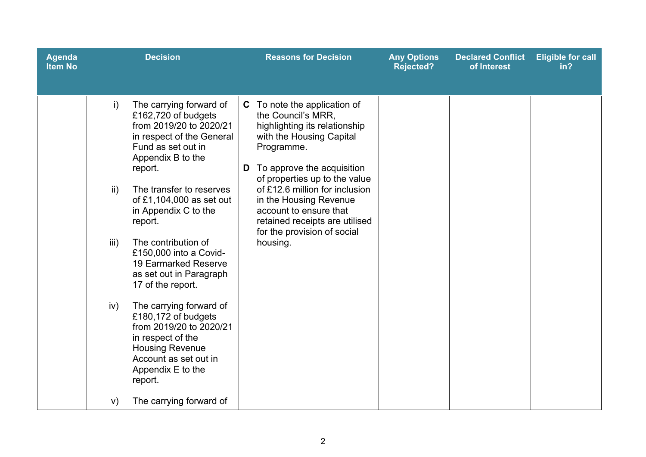| <b>Agenda</b><br><b>Item No</b> |                                              | <b>Decision</b>                                                                                                                                                                                                                                                                                                                                                                                                                                                                                                                                                       | <b>Reasons for Decision</b>                                                                                                                                                                                                                                                                                                                                                 | <b>Any Options</b><br><b>Rejected?</b> | <b>Declared Conflict</b><br>of Interest | <b>Eligible for call</b><br>in? |
|---------------------------------|----------------------------------------------|-----------------------------------------------------------------------------------------------------------------------------------------------------------------------------------------------------------------------------------------------------------------------------------------------------------------------------------------------------------------------------------------------------------------------------------------------------------------------------------------------------------------------------------------------------------------------|-----------------------------------------------------------------------------------------------------------------------------------------------------------------------------------------------------------------------------------------------------------------------------------------------------------------------------------------------------------------------------|----------------------------------------|-----------------------------------------|---------------------------------|
|                                 | $\mathsf{i}$<br>$\mathsf{ii}$<br>iii)<br>iv) | The carrying forward of<br>£162,720 of budgets<br>from 2019/20 to 2020/21<br>in respect of the General<br>Fund as set out in<br>Appendix B to the<br>report.<br>The transfer to reserves<br>of £1,104,000 as set out<br>in Appendix C to the<br>report.<br>The contribution of<br>£150,000 into a Covid-<br>19 Earmarked Reserve<br>as set out in Paragraph<br>17 of the report.<br>The carrying forward of<br>£180,172 of budgets<br>from 2019/20 to 2020/21<br>in respect of the<br><b>Housing Revenue</b><br>Account as set out in<br>Appendix E to the<br>report. | <b>C</b> To note the application of<br>the Council's MRR.<br>highlighting its relationship<br>with the Housing Capital<br>Programme.<br>To approve the acquisition<br>D<br>of properties up to the value<br>of £12.6 million for inclusion<br>in the Housing Revenue<br>account to ensure that<br>retained receipts are utilised<br>for the provision of social<br>housing. |                                        |                                         |                                 |
|                                 | V)                                           | The carrying forward of                                                                                                                                                                                                                                                                                                                                                                                                                                                                                                                                               |                                                                                                                                                                                                                                                                                                                                                                             |                                        |                                         |                                 |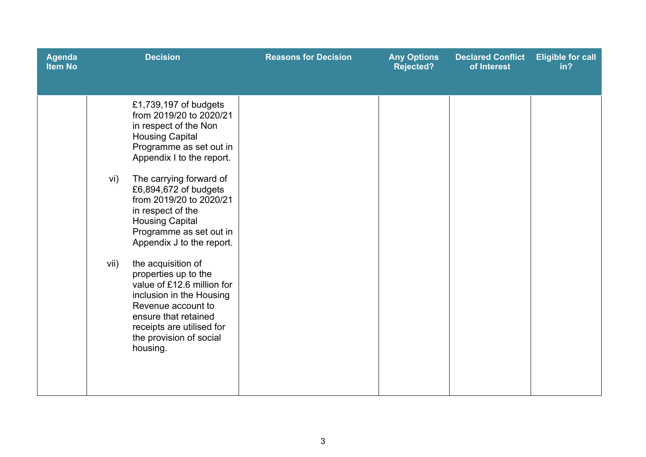| <b>Agenda</b><br><b>Item No</b> |             | <b>Decision</b>                                                                                                                                                                                                                                                                                                                                                                                                                                                                                                                                                             | <b>Reasons for Decision</b> | <b>Any Options</b><br><b>Rejected?</b> | <b>Declared Conflict</b><br>of Interest | <b>Eligible for call</b><br>in? |
|---------------------------------|-------------|-----------------------------------------------------------------------------------------------------------------------------------------------------------------------------------------------------------------------------------------------------------------------------------------------------------------------------------------------------------------------------------------------------------------------------------------------------------------------------------------------------------------------------------------------------------------------------|-----------------------------|----------------------------------------|-----------------------------------------|---------------------------------|
|                                 | vi)<br>vii) | £1,739,197 of budgets<br>from 2019/20 to 2020/21<br>in respect of the Non<br><b>Housing Capital</b><br>Programme as set out in<br>Appendix I to the report.<br>The carrying forward of<br>£6,894,672 of budgets<br>from 2019/20 to 2020/21<br>in respect of the<br><b>Housing Capital</b><br>Programme as set out in<br>Appendix J to the report.<br>the acquisition of<br>properties up to the<br>value of £12.6 million for<br>inclusion in the Housing<br>Revenue account to<br>ensure that retained<br>receipts are utilised for<br>the provision of social<br>housing. |                             |                                        |                                         |                                 |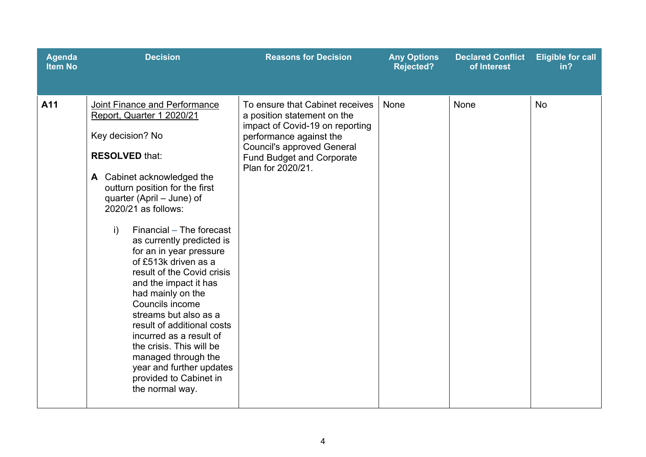| <b>Agenda</b><br><b>Item No</b> | <b>Decision</b>                                                                                                                                                                                                                                                                                                                                                                                                                                                                                                                                                                                                                                                      | <b>Reasons for Decision</b>                                                                                                                                                                                                | <b>Any Options</b><br><b>Rejected?</b> | <b>Declared Conflict</b><br>of Interest | <b>Eligible for call</b><br>in? |
|---------------------------------|----------------------------------------------------------------------------------------------------------------------------------------------------------------------------------------------------------------------------------------------------------------------------------------------------------------------------------------------------------------------------------------------------------------------------------------------------------------------------------------------------------------------------------------------------------------------------------------------------------------------------------------------------------------------|----------------------------------------------------------------------------------------------------------------------------------------------------------------------------------------------------------------------------|----------------------------------------|-----------------------------------------|---------------------------------|
| A11                             | Joint Finance and Performance<br>Report, Quarter 1 2020/21<br>Key decision? No<br><b>RESOLVED that:</b><br>A Cabinet acknowledged the<br>outturn position for the first<br>quarter (April – June) of<br>2020/21 as follows:<br>Financial - The forecast<br>$\mathbf{i}$<br>as currently predicted is<br>for an in year pressure<br>of £513k driven as a<br>result of the Covid crisis<br>and the impact it has<br>had mainly on the<br>Councils income<br>streams but also as a<br>result of additional costs<br>incurred as a result of<br>the crisis. This will be<br>managed through the<br>year and further updates<br>provided to Cabinet in<br>the normal way. | To ensure that Cabinet receives<br>a position statement on the<br>impact of Covid-19 on reporting<br>performance against the<br><b>Council's approved General</b><br><b>Fund Budget and Corporate</b><br>Plan for 2020/21. | <b>None</b>                            | None                                    | <b>No</b>                       |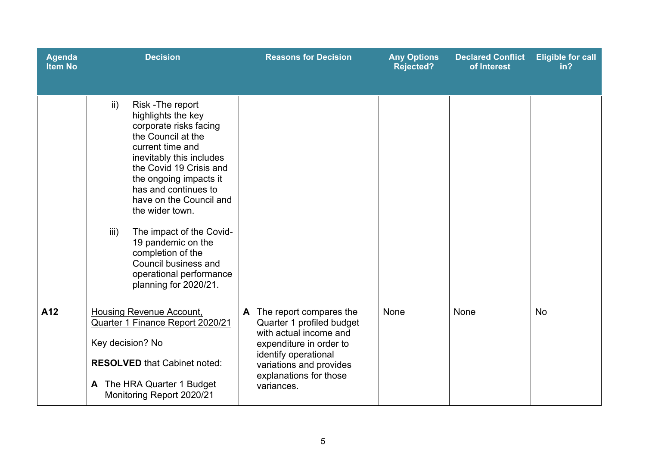| <b>Agenda</b><br><b>Item No</b> | <b>Decision</b>                                                                                                                                                                                                                                                                                                                                                                                                                                | <b>Reasons for Decision</b>                                                                                                                                                                               | <b>Any Options</b><br><b>Rejected?</b> | <b>Declared Conflict</b><br>of Interest | <b>Eligible for call</b><br>in? |
|---------------------------------|------------------------------------------------------------------------------------------------------------------------------------------------------------------------------------------------------------------------------------------------------------------------------------------------------------------------------------------------------------------------------------------------------------------------------------------------|-----------------------------------------------------------------------------------------------------------------------------------------------------------------------------------------------------------|----------------------------------------|-----------------------------------------|---------------------------------|
|                                 | Risk-The report<br>$\mathsf{ii}$ )<br>highlights the key<br>corporate risks facing<br>the Council at the<br>current time and<br>inevitably this includes<br>the Covid 19 Crisis and<br>the ongoing impacts it<br>has and continues to<br>have on the Council and<br>the wider town.<br>iii)<br>The impact of the Covid-<br>19 pandemic on the<br>completion of the<br>Council business and<br>operational performance<br>planning for 2020/21. |                                                                                                                                                                                                           |                                        |                                         |                                 |
| A12                             | <b>Housing Revenue Account,</b><br>Quarter 1 Finance Report 2020/21<br>Key decision? No<br><b>RESOLVED</b> that Cabinet noted:<br>The HRA Quarter 1 Budget<br>A<br>Monitoring Report 2020/21                                                                                                                                                                                                                                                   | The report compares the<br>A<br>Quarter 1 profiled budget<br>with actual income and<br>expenditure in order to<br>identify operational<br>variations and provides<br>explanations for those<br>variances. | None                                   | None                                    | <b>No</b>                       |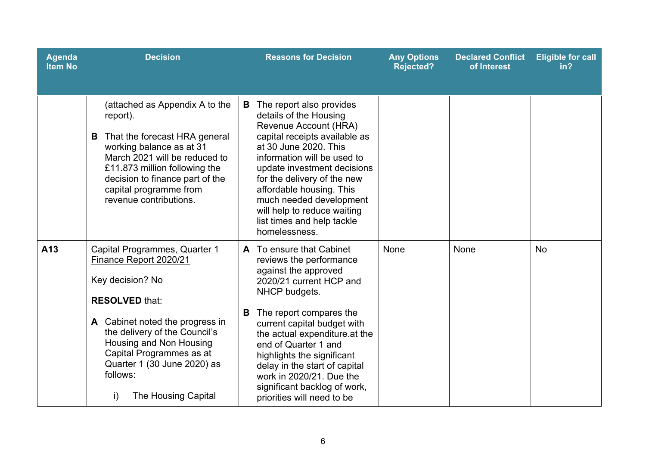| <b>Agenda</b><br><b>Item No</b> | <b>Decision</b>                                                                                                                                                                                                                                                                                                | <b>Reasons for Decision</b>                                                                                                                                                                                                                                                                                                                                                                              | <b>Any Options</b><br><b>Rejected?</b> | <b>Declared Conflict</b><br>of Interest | <b>Eligible for call</b><br>in? |
|---------------------------------|----------------------------------------------------------------------------------------------------------------------------------------------------------------------------------------------------------------------------------------------------------------------------------------------------------------|----------------------------------------------------------------------------------------------------------------------------------------------------------------------------------------------------------------------------------------------------------------------------------------------------------------------------------------------------------------------------------------------------------|----------------------------------------|-----------------------------------------|---------------------------------|
|                                 | (attached as Appendix A to the<br>report).<br>That the forecast HRA general<br>B.<br>working balance as at 31<br>March 2021 will be reduced to<br>£11.873 million following the<br>decision to finance part of the<br>capital programme from<br>revenue contributions.                                         | The report also provides<br>B<br>details of the Housing<br>Revenue Account (HRA)<br>capital receipts available as<br>at 30 June 2020. This<br>information will be used to<br>update investment decisions<br>for the delivery of the new<br>affordable housing. This<br>much needed development<br>will help to reduce waiting<br>list times and help tackle<br>homelessness.                             |                                        |                                         |                                 |
| A13                             | Capital Programmes, Quarter 1<br>Finance Report 2020/21<br>Key decision? No<br><b>RESOLVED that:</b><br>A Cabinet noted the progress in<br>the delivery of the Council's<br>Housing and Non Housing<br>Capital Programmes as at<br>Quarter 1 (30 June 2020) as<br>follows:<br><b>The Housing Capital</b><br>i) | A To ensure that Cabinet<br>reviews the performance<br>against the approved<br>2020/21 current HCP and<br>NHCP budgets.<br>The report compares the<br>B<br>current capital budget with<br>the actual expenditure at the<br>end of Quarter 1 and<br>highlights the significant<br>delay in the start of capital<br>work in 2020/21. Due the<br>significant backlog of work,<br>priorities will need to be | None                                   | None                                    | <b>No</b>                       |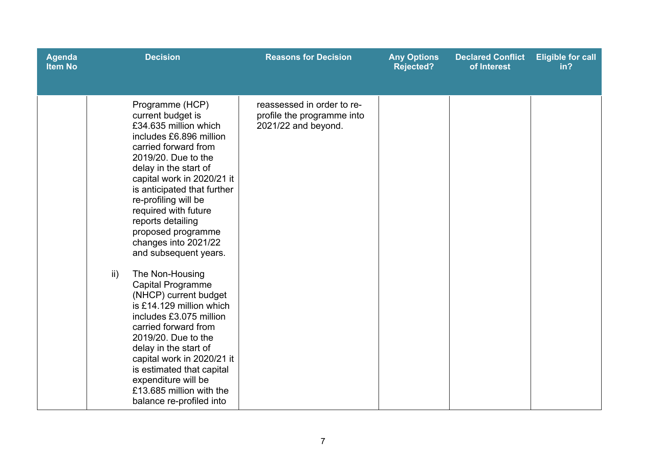| <b>Agenda</b><br><b>Item No</b> |               | <b>Decision</b>                                                                                                                                                                                                                                                                                                                                                                                                                                                                                                                                                                                                                                                                                                     | <b>Reasons for Decision</b>                                                     | <b>Any Options</b><br>Rejected? | <b>Declared Conflict</b><br>of Interest | <b>Eligible for call</b><br>in? |
|---------------------------------|---------------|---------------------------------------------------------------------------------------------------------------------------------------------------------------------------------------------------------------------------------------------------------------------------------------------------------------------------------------------------------------------------------------------------------------------------------------------------------------------------------------------------------------------------------------------------------------------------------------------------------------------------------------------------------------------------------------------------------------------|---------------------------------------------------------------------------------|---------------------------------|-----------------------------------------|---------------------------------|
|                                 | $\mathsf{ii}$ | Programme (HCP)<br>current budget is<br>£34.635 million which<br>includes £6,896 million<br>carried forward from<br>2019/20. Due to the<br>delay in the start of<br>capital work in 2020/21 it<br>is anticipated that further<br>re-profiling will be<br>required with future<br>reports detailing<br>proposed programme<br>changes into 2021/22<br>and subsequent years.<br>The Non-Housing<br>Capital Programme<br>(NHCP) current budget<br>is £14.129 million which<br>includes £3.075 million<br>carried forward from<br>2019/20. Due to the<br>delay in the start of<br>capital work in 2020/21 it<br>is estimated that capital<br>expenditure will be<br>£13.685 million with the<br>balance re-profiled into | reassessed in order to re-<br>profile the programme into<br>2021/22 and beyond. |                                 |                                         |                                 |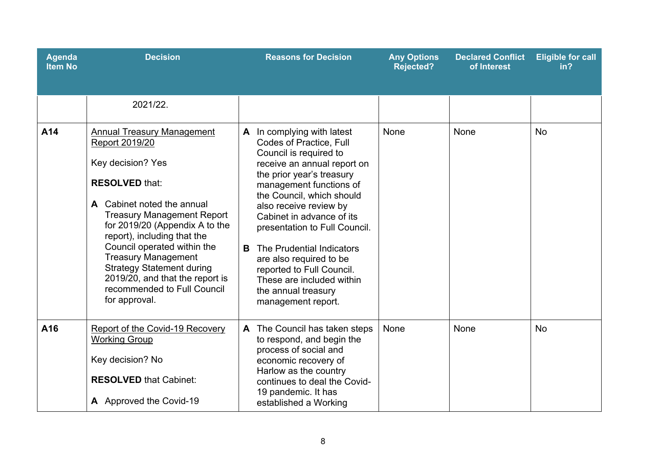| <b>Agenda</b><br><b>Item No</b> | <b>Decision</b>                                                                                                                                                                                                                                                                                                                                                                                                           | <b>Reasons for Decision</b>                                                                                                                                                                                                                                                                                                                                                                                                                                            | <b>Any Options</b><br><b>Rejected?</b> | <b>Declared Conflict</b><br>of Interest | <b>Eligible for call</b><br>in? |
|---------------------------------|---------------------------------------------------------------------------------------------------------------------------------------------------------------------------------------------------------------------------------------------------------------------------------------------------------------------------------------------------------------------------------------------------------------------------|------------------------------------------------------------------------------------------------------------------------------------------------------------------------------------------------------------------------------------------------------------------------------------------------------------------------------------------------------------------------------------------------------------------------------------------------------------------------|----------------------------------------|-----------------------------------------|---------------------------------|
|                                 | 2021/22.                                                                                                                                                                                                                                                                                                                                                                                                                  |                                                                                                                                                                                                                                                                                                                                                                                                                                                                        |                                        |                                         |                                 |
| A14                             | <b>Annual Treasury Management</b><br>Report 2019/20<br>Key decision? Yes<br><b>RESOLVED that:</b><br>A Cabinet noted the annual<br><b>Treasury Management Report</b><br>for 2019/20 (Appendix A to the<br>report), including that the<br>Council operated within the<br><b>Treasury Management</b><br><b>Strategy Statement during</b><br>2019/20, and that the report is<br>recommended to Full Council<br>for approval. | A In complying with latest<br><b>Codes of Practice, Full</b><br>Council is required to<br>receive an annual report on<br>the prior year's treasury<br>management functions of<br>the Council, which should<br>also receive review by<br>Cabinet in advance of its<br>presentation to Full Council.<br>The Prudential Indicators<br>B<br>are also required to be<br>reported to Full Council.<br>These are included within<br>the annual treasury<br>management report. | None                                   | None                                    | <b>No</b>                       |
| A16                             | Report of the Covid-19 Recovery<br><b>Working Group</b><br>Key decision? No<br><b>RESOLVED that Cabinet:</b><br>A Approved the Covid-19                                                                                                                                                                                                                                                                                   | A The Council has taken steps<br>to respond, and begin the<br>process of social and<br>economic recovery of<br>Harlow as the country<br>continues to deal the Covid-<br>19 pandemic. It has<br>established a Working                                                                                                                                                                                                                                                   | None                                   | None                                    | <b>No</b>                       |